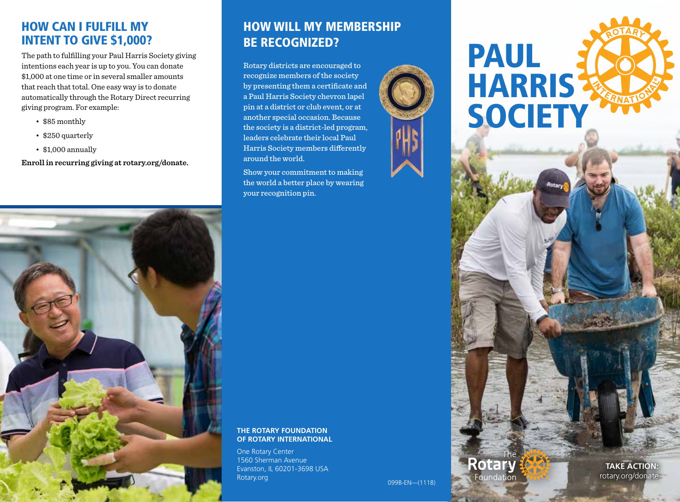#### HOW CAN I FULFILL MY INTENT TO GIVE \$1,000?

The path to fulfilling your Paul Harris Society giving intentions each year is up to you. You can donate \$1,000 at one time or in several smaller amounts that reach that total. One easy way is to donate automatically through the Rotary Direct recurring giving program. For example:

- \$85 monthly
- \$250 quarterly
- \$1,000 annually

**Enroll in recurring giving at rotary.org/donate.**



## HOW WILL MY MEMBERSHIP BE RECOGNIZED?

Rotary districts are encouraged to recognize members of the society by presenting them a certificate and a Paul Harris Society chevron lapel pin at a district or club event, or at another special occasion. Because the society is a district-led program, leaders celebrate their local Paul Harris Society members differently around the world.

Show your commitment to making the world a better place by wearing your recognition pin.

#### **THE ROTARY FOUNDATION OF ROTARY INTERNATIONAL**

One Rotary Center 1560 Sherman Avenue Evanston, IL 60201-3698 USA Rotary.org 099B-EN—(1118)